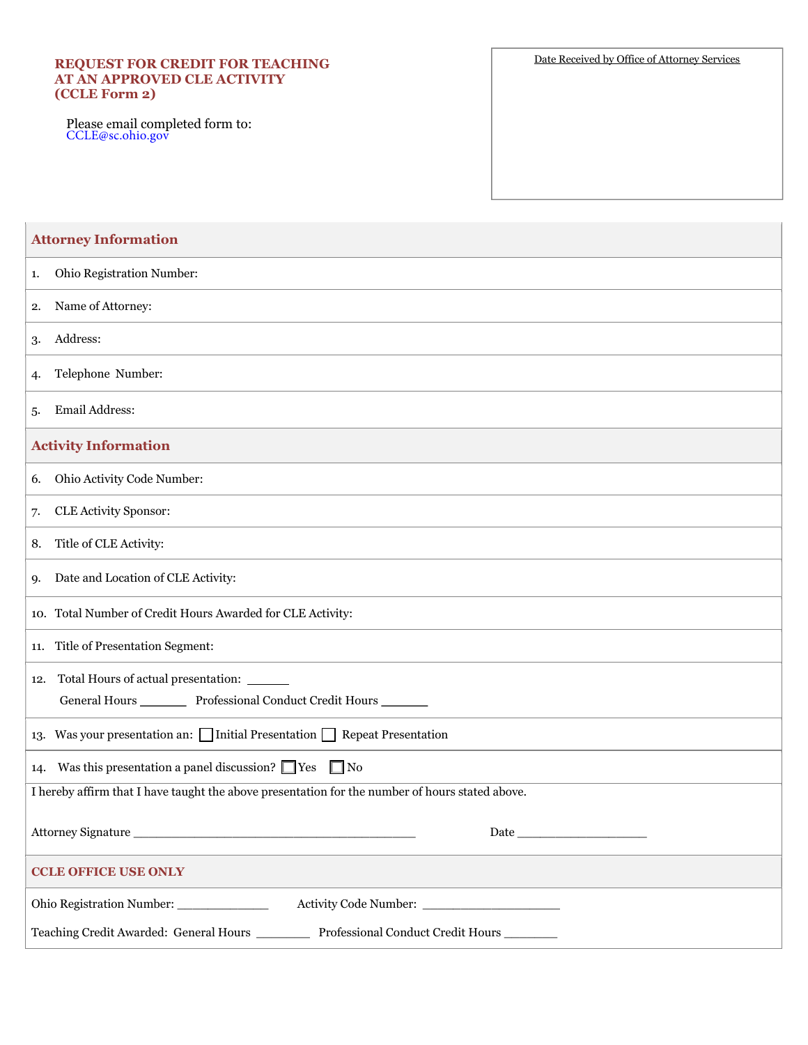## **REQUEST FOR CREDIT FOR TEACHING AT AN APPROVED CLE ACTIVITY (CCLE Form 2)**

Please email completed form to: [CCLE@sc.ohio.gov](mailto:CCLE@sc.ohio.gov)

Date Received by Office of Attorney Services

| <b>Attorney Information</b>                                                                                            |
|------------------------------------------------------------------------------------------------------------------------|
| Ohio Registration Number:<br>1.                                                                                        |
| Name of Attorney:<br>2.                                                                                                |
| Address:<br>3.                                                                                                         |
| Telephone Number:<br>4.                                                                                                |
| <b>Email Address:</b><br>5.                                                                                            |
| <b>Activity Information</b>                                                                                            |
| Ohio Activity Code Number:<br>6.                                                                                       |
| <b>CLE Activity Sponsor:</b><br>7.                                                                                     |
| Title of CLE Activity:<br>8.                                                                                           |
| Date and Location of CLE Activity:<br>9.                                                                               |
| 10. Total Number of Credit Hours Awarded for CLE Activity:                                                             |
| 11. Title of Presentation Segment:                                                                                     |
| 12. Total Hours of actual presentation: ______<br>General Hours ___________ Professional Conduct Credit Hours ________ |
| 13. Was your presentation an: $\Box$ Initial Presentation $\Box$ Repeat Presentation                                   |
| Was this presentation a panel discussion? $\Box$ Yes $\Box$ No<br>14.                                                  |
| I hereby affirm that I have taught the above presentation for the number of hours stated above.                        |
|                                                                                                                        |
| <b>CCLE OFFICE USE ONLY</b>                                                                                            |
| Ohio Registration Number: _____________                                                                                |
| Teaching Credit Awarded: General Hours _______<br>Professional Conduct Credit Hours                                    |